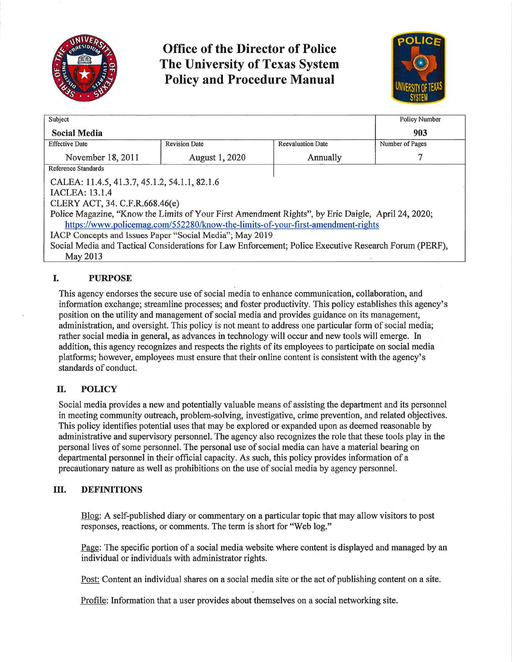

**Office of the Director of Police The University of Texas System Policy and Procedure Manual** 



| Subject                                                                                               |                       |                          | <b>Policy Number</b> |
|-------------------------------------------------------------------------------------------------------|-----------------------|--------------------------|----------------------|
| <b>Social Media</b>                                                                                   |                       |                          | 903                  |
| <b>Effective Date</b>                                                                                 | <b>Revision Date</b>  | <b>Reevaluation Date</b> | Number of Pages      |
| November 18, 2011                                                                                     | <b>August 1, 2020</b> | Annually                 |                      |
| Reference Standards                                                                                   |                       |                          |                      |
| CALEA: 11.4.5, 41.3.7, 45.1.2, 54.1.1, 82.1.6                                                         |                       |                          |                      |
| <b>IACLEA</b> : 13.1.4                                                                                |                       |                          |                      |
| CLERY ACT, 34. C.F.R.668.46(e)                                                                        |                       |                          |                      |
| Police Magazine, "Know the Limits of Your First Amendment Rights", by Eric Daigle, April 24, 2020;    |                       |                          |                      |
| https://www.policemag.com/552280/know-the-limits-of-your-first-amendment-rights                       |                       |                          |                      |
| IACP Concepts and Issues Paper "Social Media"; May 2019                                               |                       |                          |                      |
| Social Media and Tactical Considerations for Law Enforcement; Police Executive Research Forum (PERF), |                       |                          |                      |
| May 2013                                                                                              |                       |                          |                      |

# **I. PURPOSE**

This agency endorses the secure use of social media to enhance communication, collaboration, and information exchange; streamline processes; and foster productivity. This policy establishes this agency's position on the utility and management of social media and provides guidance on its management, administration, and oversight. This policy is not meant to address one patticular form of social media; rather social media in general, as advances in technology will occur and new tools will emerge. In addition, this agency recognizes and respects the rights of its employees to patticipate on social media platforms; however, employees must ensure that their online content is consistent with the agency's standards of conduct.

## **II. POLICY**

Social media provides a new and potentially valuable means of assisting the depattment and its personnel in meeting community outreach, problem-solving, investigative, crime prevention, and related objectives. This policy identifies potential uses that may be explored or expanded upon as deemed reasonable by administrative and supervisory personnel. The agency also recognizes the role that these tools play in the personal lives of some personnel. The personal use of social media can have a material bearing on departmental personnel in their official capacity. As such, this policy provides information of a precautionary nature as well as prohibitions on the use of social media by agency personnel.

## **ill. DEFINITIONS**

Blog: A self-published diaty or commentary on a patticular topic that may allow visitors to post responses, reactions, or comments. The term is short for "Web log."

Page: The specific portion of a social media website where content is displayed and managed by an individual or individuals with administrator rights.

Post: Content an individual shares on a social media site or the act of publishing content on a site.

Profile: Information that a user provides about themselves on a social networking site.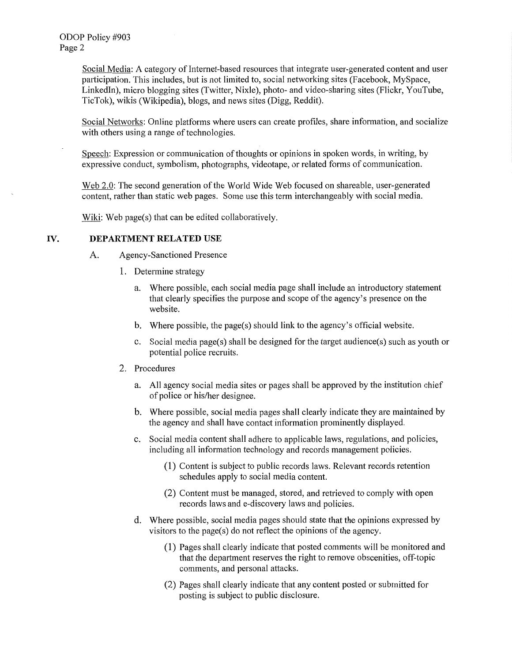Social Media: A category of Internet-based resources that integrate user-generated content and user participation. This includes, but is not limited to, social networking sites (Facebook, MySpace, Linkedln), micro blogging sites (Twitter, Nixie), photo- and video-sharing sites (Flickr, YouTube, TicTok), wikis (Wikipedia), biogs, and news sites (Digg, Reddit).

Social Networks: Online platforms where users can create profiles, share information, and socialize with others using a range of technologies.

Speech: Expression or communication of thoughts or opinions in spoken words, in writing, by expressive conduct, symbolism, photographs, videotape, or related forms of communication.

Web 2.0: The second generation of the World Wide Web focused on shareable, user-generated content, rather than static web pages. Some use this term interchangeably with social media.

Wiki: Web page(s) that can be edited collaboratively.

### IV. **DEPARTMENT RELATED USE**

- A. Agency-Sanctioned Presence
	- 1. Determine strategy
		- a. Where possible, each social media page shall include an introductory statement that clearly specifies the purpose and scope of the agency's presence on the website.
		- b. Where possible, the page(s) should link to the agency's official website.
		- c. Social media page(s) shall be designed for the target audience(s) such as youth or potential police recruits.
	- 2. Procedures
		- a. All agency social media sites or pages shall be approved by the institution chief of police or his/her designee.
		- b. Where possible, social media pages shall clearly indicate they are maintained by the agency and shall have contact information prominently displayed.
		- c. Social media content shall adhere to applicable laws, regulations, and policies, including all information technology and records management policies.
			- (1) Content is subject to public records laws. Relevant records retention schedules apply to social media content.
			- (2) Content must be managed, stored, and retrieved to comply with open records laws and e-discovery laws and policies.
		- d. Where possible, social media pages should state that the opinions expressed by visitors to the page(s) do not reflect the opinions of the agency.
			- ( 1) Pages shall clearly indicate that posted comments will be monitored and that the department reserves the right to remove obscenities, off-topic comments, and personal attacks.
			- (2) Pages shall clearly indicate that any content posted or submitted for posting is subject to public disclosure.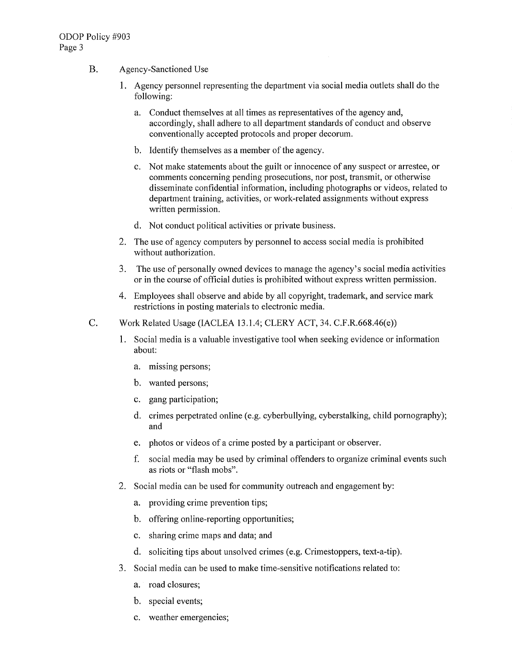- B. Agency-Sanctioned Use
	- 1. Agency personnel representing the depatiment via social media outlets shall do the following:
		- a. Conduct themselves at all times as representatives of the agency and, accordingly, shall adhere to all department standards of conduct and observe conventionally accepted protocols and proper decorum.
		- b. Identify themselves as a member of the agency.
		- c. Not make statements about the guilt or innocence of any suspect or arrestee, or comments concerning pending prosecutions, nor post, transmit, or otherwise disseminate confidential information, including photographs or videos, related to department training, activities, or work-related assignments without express written permission.
		- d. Not conduct political activities or private business.
	- 2. The use of agency computers by personnel to access social media is prohibited without authorization.
	- 3. The use of personally owned devices to manage the agency's social media activities or in the course of official duties is prohibited without express written permission.
	- 4. Employees shall observe and abide by all copyright, trademark, and service mark restrictions in posting materials to electronic media.
- C. Work Related Usage (IACLEA 13.1.4; CLERY ACT, 34. C.F.R.668.46(e))
	- 1. Social media is a valuable investigative tool when seeking evidence or information about:
		- a. missing persons;
		- b. wanted persons;
		- c. gang participation;
		- d. crimes perpetrated online (e.g. cyberbullying, cyberstalking, child pornography); and
		- e. photos or videos of a crime posted by a participant or observer.
		- f. social media may be used by criminal offenders to organize criminal events such as riots or "flash mobs".
	- 2. Social media can be used for community outreach and engagement by:
		- a. providing crime prevention tips;
		- b. offering online-reporting opportunities;
		- c. sharing crime maps and data; and
		- d. soliciting tips about unsolved crimes (e.g. Crimestoppers, text-a-tip).
	- 3. Social media can be used to make time-sensitive notifications related to:
		- a. road closures;
		- b. special events;
		- c. weather emergencies;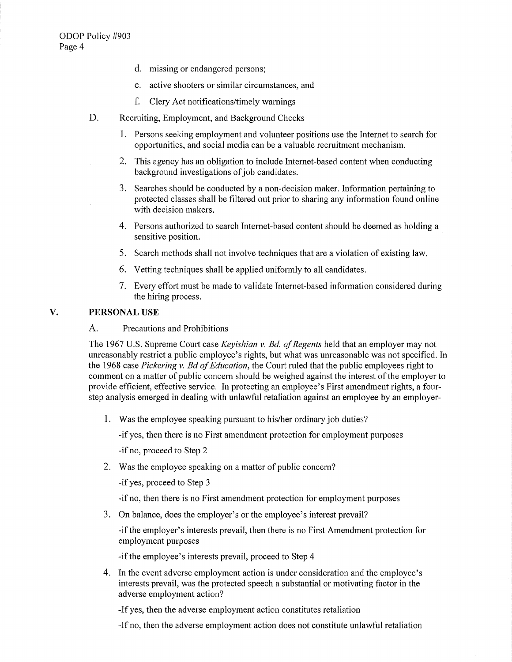- d. missing or endangered persons;
- e. active shooters or similar circumstances, and
- f. Clery Act notifications/timely warnings
- D. Recruiting, Employment, and Background Checks
	- 1. Persons seeking employment and volunteer positions use the Internet to search for opportunities, and social media can be a valuable recruitment mechanism.
	- 2. This agency has an obligation to include Internet-based content when conducting background investigations of job candidates.
	- 3. Searches should be conducted by a non-decision maker. Information pertaining to protected classes shall be filtered out prior to sharing any information found online with decision makers.
	- 4. Persons authorized to search Internet-based content should be deemed as holding a sensitive position.
	- 5. Search methods shall not involve techniques that are a violation of existing law.
	- 6. Vetting techniques shall be applied uniformly to all candidates.
	- 7. Every effort must be made to validate Internet-based information considered during the hiring process.

### **V. PERSONAL USE**

#### A. Precautions and Prohibitions

The 1967 U.S. Supreme Court case *Keyishian v. Bd. of Regents* held that an employer may not unreasonably restrict a public employee's rights, but what was unreasonable was not specified. In the 1968 case *Pickering v. Bd of Education,* the Court ruled that the public employees right to comment on a matter of public concern should be weighed against the interest of the employer to provide efficient, effective service. In protecting an employee's First amendment rights, a fourstep analysis emerged in dealing with unlawful retaliation against an employee by an employer-

1. Was the employee speaking pursuant to his/her ordinary job duties?

-if yes, then there is no First amendment protection for employment purposes

-if no, proceed to Step 2

2. Was the employee speaking on a matter of public concern?

-if yes, proceed to Step 3

-if no, then there is no First amendment protection for employment purposes

3. On balance, does the employer's or the employee's interest prevail?

-if the employer's interests prevail, then there is no First Amendment protection for employment purposes

-if the employee's interests prevail, proceed to Step 4

4. In the event adverse employment action is under consideration and the employee's interests prevail, was the protected speech a substantial or motivating factor in the adverse employment action?

-If yes, then the adverse employment action constitutes retaliation

-If no, then the adverse employment action does not constitute unlawful retaliation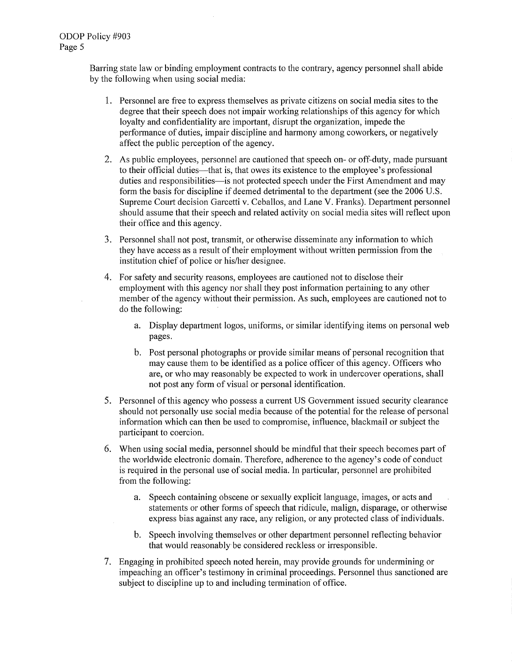Barring state law or binding employment contracts to the contrary, agency personnel shall abide by the following when using social media:

- 1. Personnel are free to express themselves as private citizens on social media sites to the degree that their speech does not impair working relationships of this agency for which loyalty and confidentiality are important, disrupt the organization, impede the performance of duties, impair discipline and harmony among coworkers, or negatively affect the public perception of the agency.
- 2. As public employees, personnel are cautioned that speech on- or off-duty, made pursuant to their official duties—that is, that owes its existence to the employee's professional duties and responsibilities—is not protected speech under the First Amendment and may form the basis for discipline if deemed detrimental to the department (see the 2006 U.S. Supreme Court decision Garcetti v. Ceballos, and Lane V. Franks). Department personnel should assume that their speech and related activity on social media sites will reflect upon their office and this agency.
- 3. Personnel shall not post, transmit, or otherwise disseminate any information to which they have access as a result of their employment without written permission from the institution chief of police or his/her designee.
- 4. For safety and security reasons, employees are cautioned not to disclose their employment with this agency nor shall they post information pertaining to any other member of the agency without their permission. As such, employees are cautioned not to do the following:
	- a. Display department logos, uniforms, or similar identifying items on personal web pages.
	- b. Post personal photographs or provide similar means of personal recognition that may cause them to be identified as a police officer of this agency. Officers who are, or who may reasonably be expected to work in undercover operations, shall not post any form of visual or personal identification.
- 5. Personnel of this agency who possess a current US Government issued security clearance should not personally use social media because of the potential for the release of personal information which can then be used to compromise, influence, blackmail or subject the participant to coercion.
- 6. When using social media, personnel should be mindful that their speech becomes part of the worldwide electronic domain. Therefore, adherence to the agency's code of conduct is required in the personal use of social media. In particular, personnel are prohibited from the following:
	- a. Speech containing obscene or sexually explicit language, images, or acts and statements or other forms of speech that ridicule, malign, disparage, or otherwise express bias against any race, any religion, or any protected class of individuals.
	- b. Speech involving themselves or other department personnel reflecting behavior that would reasonably be considered reckless or irresponsible.
- 7. Engaging in prohibited speech noted herein, may provide grounds for undermining or impeaching an officer's testimony in criminal proceedings. Personnel thus sanctioned are subject to discipline up to and including termination of office.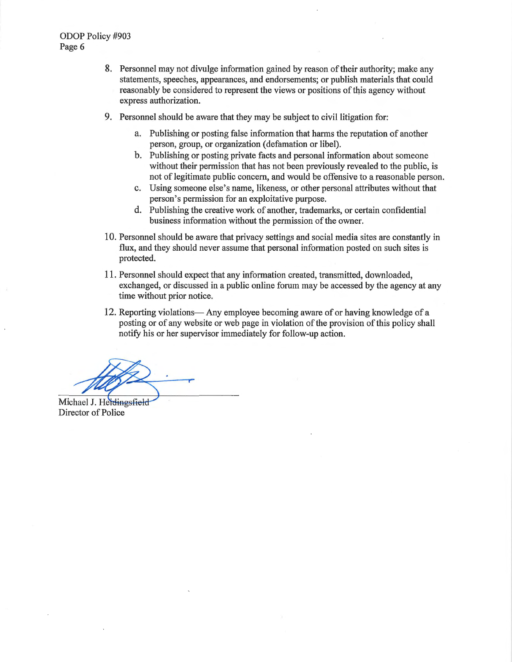- 8. Personnel may not divulge information gained by reason of their authority; make any statements, speeches, appearances, and endorsements; or publish materials that could reasonably be considered to represent the views or positions of this agency without express authorization.
- 9. Personnel should be aware that they may be subject to civil litigation for:
	- a. Publishing or posting false information that harms the reputation of another person, group, or organization (defamation or libel).
	- b. Publishing or posting private facts and personal information about someone without their permission that has not been previously revealed to the public, is not of legitimate public concern, and would be offensive to a reasonable person.
	- c. Using someone else's name, likeness, or other personal attributes without that person's permission for an exploitative purpose.
	- d. Publishing the creative work of another, trademarks, or certain confidential business information without the permission of the owner.
- 10. Personnel should be aware that privacy settings and social media sites are constantly in flux, and they should never assume that personal information posted on such sites is protected.
- 11. Personnel should expect that any information created, transmitted, downloaded, exchanged, or discussed in a public online forum may be accessed by the agency at any time without prior notice.
- 12. Reporting violations— Any employee becoming aware of or having knowledge of a posting or of any website or web page in violation of the provision of this policy shall notify his or her supervisor immediately for follow-up action.

Michael J. Heidingsfield Director of Police